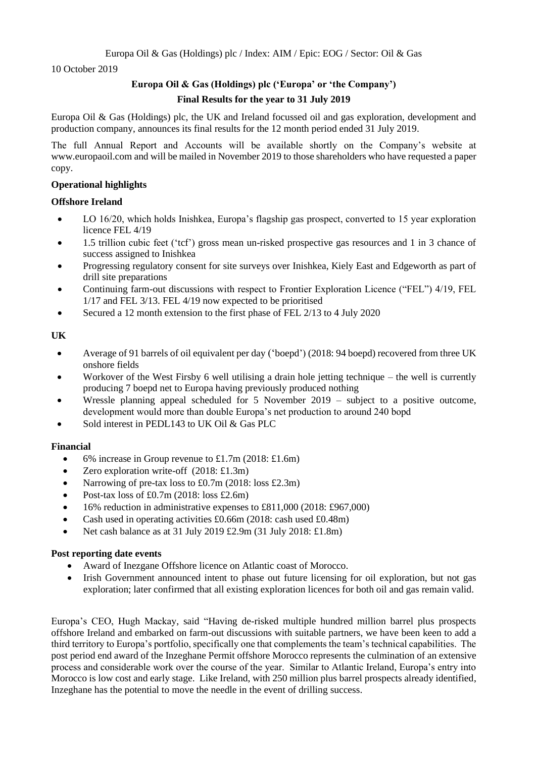10 October 2019

# **Europa Oil & Gas (Holdings) plc ('Europa' or 'the Company') Final Results for the year to 31 July 2019**

Europa Oil & Gas (Holdings) plc, the UK and Ireland focussed oil and gas exploration, development and production company, announces its final results for the 12 month period ended 31 July 2019.

The full Annual Report and Accounts will be available shortly on the Company's website at www.europaoil.com and will be mailed in November 2019 to those shareholders who have requested a paper copy.

# **Operational highlights**

# **Offshore Ireland**

- LO 16/20, which holds Inishkea, Europa's flagship gas prospect, converted to 15 year exploration licence FEL 4/19
- 1.5 trillion cubic feet ('tcf') gross mean un-risked prospective gas resources and 1 in 3 chance of success assigned to Inishkea
- Progressing regulatory consent for site surveys over Inishkea, Kiely East and Edgeworth as part of drill site preparations
- Continuing farm-out discussions with respect to Frontier Exploration Licence ("FEL") 4/19, FEL 1/17 and FEL 3/13. FEL 4/19 now expected to be prioritised
- Secured a 12 month extension to the first phase of FEL 2/13 to 4 July 2020

# **UK**

- Average of 91 barrels of oil equivalent per day ('boepd') (2018: 94 boepd) recovered from three UK onshore fields
- Workover of the West Firsby 6 well utilising a drain hole jetting technique the well is currently producing 7 boepd net to Europa having previously produced nothing
- Wressle planning appeal scheduled for 5 November 2019 subject to a positive outcome, development would more than double Europa's net production to around 240 bopd
- Sold interest in PEDL143 to UK Oil & Gas PLC

# **Financial**

- 6% increase in Group revenue to £1.7m  $(2018; \text{\textsterling}1.6m)$
- Zero exploration write-off (2018: £1.3m)
- Narrowing of pre-tax loss to £0.7m (2018: loss £2.3m)
- Post-tax loss of £0.7m (2018: loss £2.6m)
- 16% reduction in administrative expenses to £811,000 (2018: £967,000)
- Cash used in operating activities £0.66m (2018: cash used £0.48m)
- Net cash balance as at 31 July 2019 £2.9m (31 July 2018:  $£1.8m$ )

#### **Post reporting date events**

- Award of Inezgane Offshore licence on Atlantic coast of Morocco.
- Irish Government announced intent to phase out future licensing for oil exploration, but not gas exploration; later confirmed that all existing exploration licences for both oil and gas remain valid.

Europa's CEO, Hugh Mackay, said "Having de-risked multiple hundred million barrel plus prospects offshore Ireland and embarked on farm-out discussions with suitable partners, we have been keen to add a third territory to Europa's portfolio, specifically one that complements the team's technical capabilities. The post period end award of the Inzeghane Permit offshore Morocco represents the culmination of an extensive process and considerable work over the course of the year. Similar to Atlantic Ireland, Europa's entry into Morocco is low cost and early stage. Like Ireland, with 250 million plus barrel prospects already identified, Inzeghane has the potential to move the needle in the event of drilling success.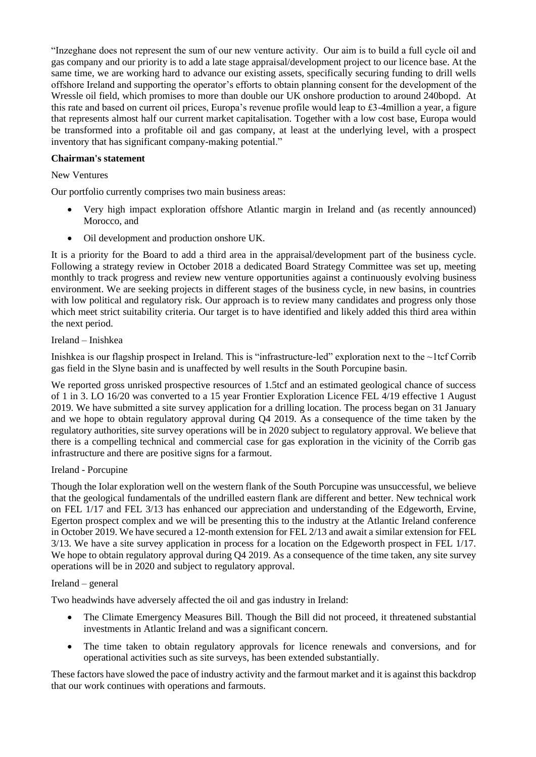"Inzeghane does not represent the sum of our new venture activity. Our aim is to build a full cycle oil and gas company and our priority is to add a late stage appraisal/development project to our licence base. At the same time, we are working hard to advance our existing assets, specifically securing funding to drill wells offshore Ireland and supporting the operator's efforts to obtain planning consent for the development of the Wressle oil field, which promises to more than double our UK onshore production to around 240bopd. At this rate and based on current oil prices, Europa's revenue profile would leap to £3-4million a year, a figure that represents almost half our current market capitalisation. Together with a low cost base, Europa would be transformed into a profitable oil and gas company, at least at the underlying level, with a prospect inventory that has significant company-making potential."

# **Chairman's statement**

# New Ventures

Our portfolio currently comprises two main business areas:

- Very high impact exploration offshore Atlantic margin in Ireland and (as recently announced) Morocco, and
- Oil development and production onshore UK.

It is a priority for the Board to add a third area in the appraisal/development part of the business cycle. Following a strategy review in October 2018 a dedicated Board Strategy Committee was set up, meeting monthly to track progress and review new venture opportunities against a continuously evolving business environment. We are seeking projects in different stages of the business cycle, in new basins, in countries with low political and regulatory risk. Our approach is to review many candidates and progress only those which meet strict suitability criteria. Our target is to have identified and likely added this third area within the next period.

# Ireland – Inishkea

Inishkea is our flagship prospect in Ireland. This is "infrastructure-led" exploration next to the ~1tcf Corrib gas field in the Slyne basin and is unaffected by well results in the South Porcupine basin.

We reported gross unrisked prospective resources of 1.5tcf and an estimated geological chance of success of 1 in 3. LO 16/20 was converted to a 15 year Frontier Exploration Licence FEL 4/19 effective 1 August 2019. We have submitted a site survey application for a drilling location. The process began on 31 January and we hope to obtain regulatory approval during Q4 2019. As a consequence of the time taken by the regulatory authorities, site survey operations will be in 2020 subject to regulatory approval. We believe that there is a compelling technical and commercial case for gas exploration in the vicinity of the Corrib gas infrastructure and there are positive signs for a farmout.

#### Ireland - Porcupine

Though the Iolar exploration well on the western flank of the South Porcupine was unsuccessful, we believe that the geological fundamentals of the undrilled eastern flank are different and better. New technical work on FEL 1/17 and FEL 3/13 has enhanced our appreciation and understanding of the Edgeworth, Ervine, Egerton prospect complex and we will be presenting this to the industry at the Atlantic Ireland conference in October 2019. We have secured a 12-month extension for FEL 2/13 and await a similar extension for FEL 3/13. We have a site survey application in process for a location on the Edgeworth prospect in FEL 1/17. We hope to obtain regulatory approval during Q4 2019. As a consequence of the time taken, any site survey operations will be in 2020 and subject to regulatory approval.

#### Ireland – general

Two headwinds have adversely affected the oil and gas industry in Ireland:

- The Climate Emergency Measures Bill. Though the Bill did not proceed, it threatened substantial investments in Atlantic Ireland and was a significant concern.
- The time taken to obtain regulatory approvals for licence renewals and conversions, and for operational activities such as site surveys, has been extended substantially.

These factors have slowed the pace of industry activity and the farmout market and it is against this backdrop that our work continues with operations and farmouts.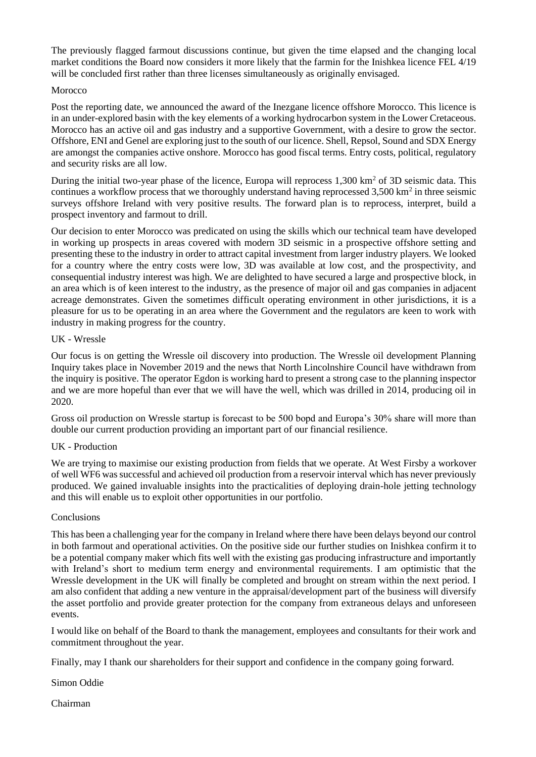The previously flagged farmout discussions continue, but given the time elapsed and the changing local market conditions the Board now considers it more likely that the farmin for the Inishkea licence FEL 4/19 will be concluded first rather than three licenses simultaneously as originally envisaged.

## Morocco

Post the reporting date, we announced the award of the Inezgane licence offshore Morocco. This licence is in an under-explored basin with the key elements of a working hydrocarbon system in the Lower Cretaceous. Morocco has an active oil and gas industry and a supportive Government, with a desire to grow the sector. Offshore, ENI and Genel are exploring just to the south of our licence. Shell, Repsol, Sound and SDX Energy are amongst the companies active onshore. Morocco has good fiscal terms. Entry costs, political, regulatory and security risks are all low.

During the initial two-year phase of the licence, Europa will reprocess  $1,300 \text{ km}^2$  of 3D seismic data. This continues a workflow process that we thoroughly understand having reprocessed  $3,500 \text{ km}^2$  in three seismic surveys offshore Ireland with very positive results. The forward plan is to reprocess, interpret, build a prospect inventory and farmout to drill.

Our decision to enter Morocco was predicated on using the skills which our technical team have developed in working up prospects in areas covered with modern 3D seismic in a prospective offshore setting and presenting these to the industry in order to attract capital investment from larger industry players. We looked for a country where the entry costs were low, 3D was available at low cost, and the prospectivity, and consequential industry interest was high. We are delighted to have secured a large and prospective block, in an area which is of keen interest to the industry, as the presence of major oil and gas companies in adjacent acreage demonstrates. Given the sometimes difficult operating environment in other jurisdictions, it is a pleasure for us to be operating in an area where the Government and the regulators are keen to work with industry in making progress for the country.

# UK - Wressle

Our focus is on getting the Wressle oil discovery into production. The Wressle oil development Planning Inquiry takes place in November 2019 and the news that North Lincolnshire Council have withdrawn from the inquiry is positive. The operator Egdon is working hard to present a strong case to the planning inspector and we are more hopeful than ever that we will have the well, which was drilled in 2014, producing oil in 2020.

Gross oil production on Wressle startup is forecast to be 500 bopd and Europa's 30% share will more than double our current production providing an important part of our financial resilience.

#### UK - Production

We are trying to maximise our existing production from fields that we operate. At West Firsby a workover of well WF6 was successful and achieved oil production from a reservoir interval which has never previously produced. We gained invaluable insights into the practicalities of deploying drain-hole jetting technology and this will enable us to exploit other opportunities in our portfolio.

#### Conclusions

This has been a challenging year for the company in Ireland where there have been delays beyond our control in both farmout and operational activities. On the positive side our further studies on Inishkea confirm it to be a potential company maker which fits well with the existing gas producing infrastructure and importantly with Ireland's short to medium term energy and environmental requirements. I am optimistic that the Wressle development in the UK will finally be completed and brought on stream within the next period. I am also confident that adding a new venture in the appraisal/development part of the business will diversify the asset portfolio and provide greater protection for the company from extraneous delays and unforeseen events.

I would like on behalf of the Board to thank the management, employees and consultants for their work and commitment throughout the year.

Finally, may I thank our shareholders for their support and confidence in the company going forward.

Simon Oddie

Chairman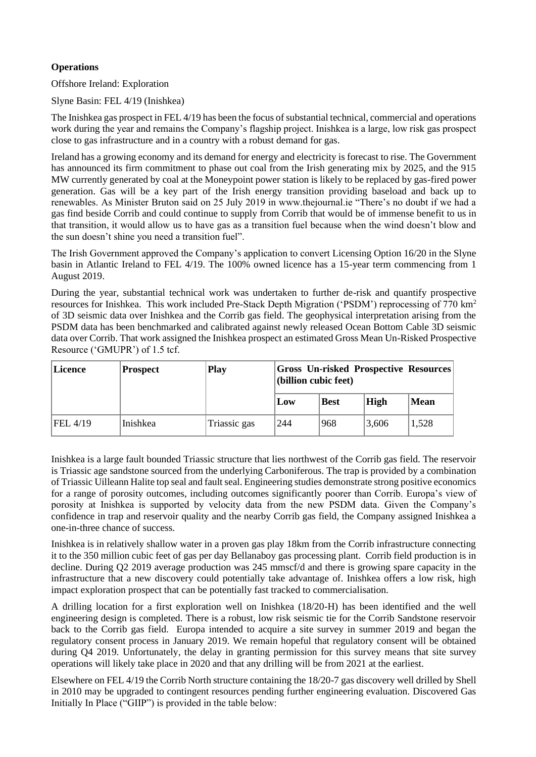# **Operations**

Offshore Ireland: Exploration

Slyne Basin: FEL 4/19 (Inishkea)

The Inishkea gas prospect in FEL 4/19 has been the focus of substantial technical, commercial and operations work during the year and remains the Company's flagship project. Inishkea is a large, low risk gas prospect close to gas infrastructure and in a country with a robust demand for gas.

Ireland has a growing economy and its demand for energy and electricity is forecast to rise. The Government has announced its firm commitment to phase out coal from the Irish generating mix by 2025, and the 915 MW currently generated by coal at the Moneypoint power station is likely to be replaced by gas-fired power generation. Gas will be a key part of the Irish energy transition providing baseload and back up to renewables. As Minister Bruton said on 25 July 2019 in www.thejournal.ie "There's no doubt if we had a gas find beside Corrib and could continue to supply from Corrib that would be of immense benefit to us in that transition, it would allow us to have gas as a transition fuel because when the wind doesn't blow and the sun doesn't shine you need a transition fuel".

The Irish Government approved the Company's application to convert Licensing Option 16/20 in the Slyne basin in Atlantic Ireland to FEL 4/19. The 100% owned licence has a 15-year term commencing from 1 August 2019.

During the year, substantial technical work was undertaken to further de-risk and quantify prospective resources for Inishkea. This work included Pre-Stack Depth Migration ('PSDM') reprocessing of 770 km<sup>2</sup> of 3D seismic data over Inishkea and the Corrib gas field. The geophysical interpretation arising from the PSDM data has been benchmarked and calibrated against newly released Ocean Bottom Cable 3D seismic data over Corrib. That work assigned the Inishkea prospect an estimated Gross Mean Un-Risked Prospective Resource ('GMUPR') of 1.5 tcf.

| Licence  | <b>Prospect</b> | <b>Play</b>  | <b>Second Secondrian Secondrian Secondrian Secondrian Secondrian Secondrian Secondrian Secondrian Secondrian Secondrian Secondrian Secondrian Secondrian Secondrian Secondrian Secondrian Secondrian Secondrian Secondrian Secon</b><br>$ $ (billion cubic feet) |             |             |             |
|----------|-----------------|--------------|------------------------------------------------------------------------------------------------------------------------------------------------------------------------------------------------------------------------------------------------------------------|-------------|-------------|-------------|
|          |                 |              | Low                                                                                                                                                                                                                                                              | <b>Best</b> | <b>High</b> | <b>Mean</b> |
| FEL 4/19 | Inishkea        | Triassic gas | 244                                                                                                                                                                                                                                                              | 968         | 3,606       | 1,528       |

Inishkea is a large fault bounded Triassic structure that lies northwest of the Corrib gas field. The reservoir is Triassic age sandstone sourced from the underlying Carboniferous. The trap is provided by a combination of Triassic Uilleann Halite top seal and fault seal. Engineering studies demonstrate strong positive economics for a range of porosity outcomes, including outcomes significantly poorer than Corrib. Europa's view of porosity at Inishkea is supported by velocity data from the new PSDM data. Given the Company's confidence in trap and reservoir quality and the nearby Corrib gas field, the Company assigned Inishkea a one-in-three chance of success.

Inishkea is in relatively shallow water in a proven gas play 18km from the Corrib infrastructure connecting it to the 350 million cubic feet of gas per day Bellanaboy gas processing plant. Corrib field production is in decline. During Q2 2019 average production was 245 mmscf/d and there is growing spare capacity in the infrastructure that a new discovery could potentially take advantage of. Inishkea offers a low risk, high impact exploration prospect that can be potentially fast tracked to commercialisation.

A drilling location for a first exploration well on Inishkea (18/20-H) has been identified and the well engineering design is completed. There is a robust, low risk seismic tie for the Corrib Sandstone reservoir back to the Corrib gas field. Europa intended to acquire a site survey in summer 2019 and began the regulatory consent process in January 2019. We remain hopeful that regulatory consent will be obtained during Q4 2019. Unfortunately, the delay in granting permission for this survey means that site survey operations will likely take place in 2020 and that any drilling will be from 2021 at the earliest.

Elsewhere on FEL 4/19 the Corrib North structure containing the 18/20-7 gas discovery well drilled by Shell in 2010 may be upgraded to contingent resources pending further engineering evaluation. Discovered Gas Initially In Place ("GIIP") is provided in the table below: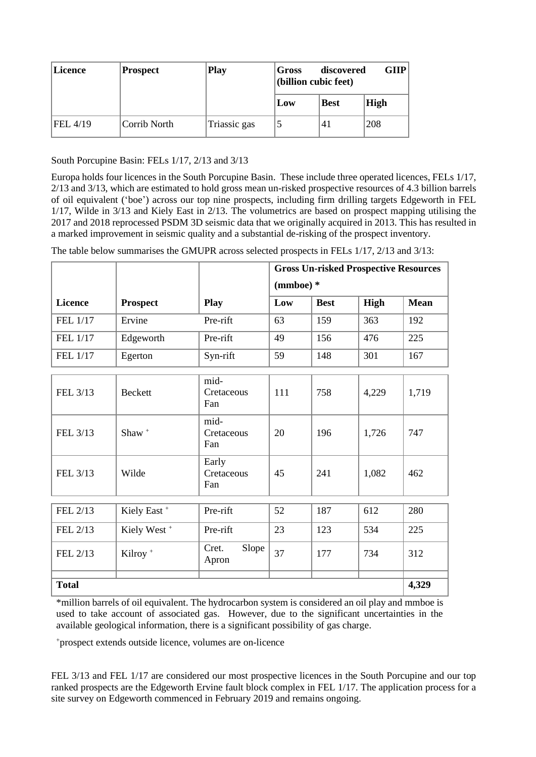| <b>Licence</b> | Prospect     | <b>Play</b>  | Gross<br>(billion cubic feet) | discovered  | <b>GIIP</b> |
|----------------|--------------|--------------|-------------------------------|-------------|-------------|
|                |              |              | Low                           | <b>Best</b> | <b>High</b> |
| FEL 4/19       | Corrib North | Triassic gas |                               | '41         | 208         |

South Porcupine Basin: FELs 1/17, 2/13 and 3/13

Europa holds four licences in the South Porcupine Basin. These include three operated licences, FELs 1/17, 2/13 and 3/13, which are estimated to hold gross mean un-risked prospective resources of 4.3 billion barrels of oil equivalent ('boe') across our top nine prospects, including firm drilling targets Edgeworth in FEL 1/17, Wilde in 3/13 and Kiely East in 2/13. The volumetrics are based on prospect mapping utilising the 2017 and 2018 reprocessed PSDM 3D seismic data that we originally acquired in 2013. This has resulted in a marked improvement in seismic quality and a substantial de-risking of the prospect inventory.

|                |                         |                            | <b>Gross Un-risked Prospective Resources</b> |             |       |             |
|----------------|-------------------------|----------------------------|----------------------------------------------|-------------|-------|-------------|
|                |                         |                            | $(mmboe)$ *                                  |             |       |             |
| <b>Licence</b> | <b>Prospect</b>         | <b>Play</b>                | Low                                          | <b>Best</b> | High  | <b>Mean</b> |
| FEL 1/17       | Ervine                  | Pre-rift                   | 63                                           | 159         | 363   | 192         |
| FEL 1/17       | Edgeworth               | Pre-rift                   | 49                                           | 156         | 476   | 225         |
| FEL 1/17       | Egerton                 | Syn-rift                   | 59                                           | 148         | 301   | 167         |
|                |                         | mid-                       |                                              |             |       |             |
| FEL 3/13       | <b>Beckett</b>          | Cretaceous<br>Fan          | 111                                          | 758         | 4,229 | 1,719       |
| FEL 3/13       | Shaw $+$                | mid-<br>Cretaceous<br>Fan  | 20                                           | 196         | 1,726 | 747         |
| FEL 3/13       | Wilde                   | Early<br>Cretaceous<br>Fan | 45                                           | 241         | 1,082 | 462         |
|                |                         |                            |                                              |             |       |             |
| FEL 2/13       | Kiely East <sup>+</sup> | Pre-rift                   | 52                                           | 187         | 612   | 280         |
| FEL 2/13       | Kiely West <sup>+</sup> | Pre-rift                   | 23                                           | 123         | 534   | 225         |
| FEL 2/13       | Kilroy <sup>+</sup>     | Cret.<br>Slope<br>Apron    | 37                                           | 177         | 734   | 312         |
| <b>Total</b>   |                         |                            |                                              |             |       | 4,329       |
|                |                         |                            |                                              |             |       |             |

The table below summarises the GMUPR across selected prospects in FELs 1/17, 2/13 and 3/13:

\*million barrels of oil equivalent. The hydrocarbon system is considered an oil play and mmboe is used to take account of associated gas. However, due to the significant uncertainties in the available geological information, there is a significant possibility of gas charge.

<sup>+</sup>prospect extends outside licence, volumes are on-licence

FEL 3/13 and FEL 1/17 are considered our most prospective licences in the South Porcupine and our top ranked prospects are the Edgeworth Ervine fault block complex in FEL 1/17. The application process for a site survey on Edgeworth commenced in February 2019 and remains ongoing.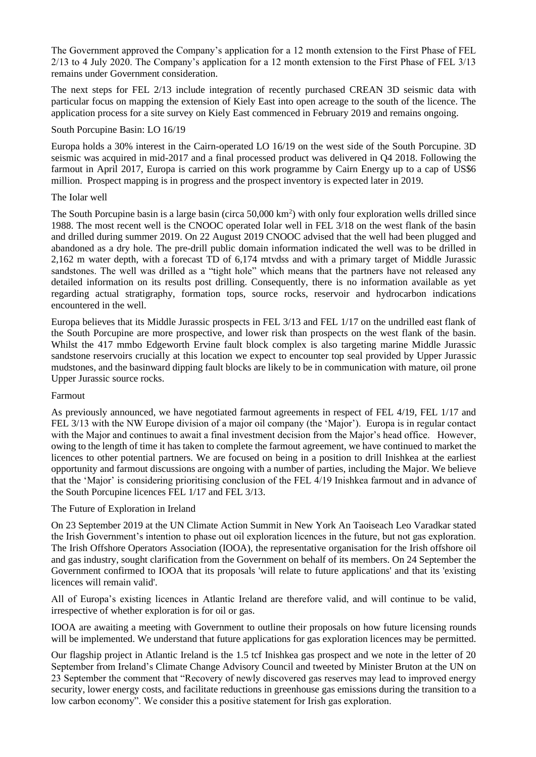The Government approved the Company's application for a 12 month extension to the First Phase of FEL 2/13 to 4 July 2020. The Company's application for a 12 month extension to the First Phase of FEL 3/13 remains under Government consideration.

The next steps for FEL 2/13 include integration of recently purchased CREAN 3D seismic data with particular focus on mapping the extension of Kiely East into open acreage to the south of the licence. The application process for a site survey on Kiely East commenced in February 2019 and remains ongoing.

#### South Porcupine Basin: LO 16/19

Europa holds a 30% interest in the Cairn-operated LO 16/19 on the west side of the South Porcupine. 3D seismic was acquired in mid-2017 and a final processed product was delivered in Q4 2018. Following the farmout in April 2017, Europa is carried on this work programme by Cairn Energy up to a cap of US\$6 million. Prospect mapping is in progress and the prospect inventory is expected later in 2019.

#### The Iolar well

The South Porcupine basin is a large basin (circa  $50,000 \text{ km}^2$ ) with only four exploration wells drilled since 1988. The most recent well is the CNOOC operated Iolar well in FEL 3/18 on the west flank of the basin and drilled during summer 2019. On 22 August 2019 CNOOC advised that the well had been plugged and abandoned as a dry hole. The pre-drill public domain information indicated the well was to be drilled in 2,162 m water depth, with a forecast TD of 6,174 mtvdss and with a primary target of Middle Jurassic sandstones. The well was drilled as a "tight hole" which means that the partners have not released any detailed information on its results post drilling. Consequently, there is no information available as yet regarding actual stratigraphy, formation tops, source rocks, reservoir and hydrocarbon indications encountered in the well.

Europa believes that its Middle Jurassic prospects in FEL 3/13 and FEL 1/17 on the undrilled east flank of the South Porcupine are more prospective, and lower risk than prospects on the west flank of the basin. Whilst the 417 mmbo Edgeworth Ervine fault block complex is also targeting marine Middle Jurassic sandstone reservoirs crucially at this location we expect to encounter top seal provided by Upper Jurassic mudstones, and the basinward dipping fault blocks are likely to be in communication with mature, oil prone Upper Jurassic source rocks.

#### Farmout

As previously announced, we have negotiated farmout agreements in respect of FEL 4/19, FEL 1/17 and FEL 3/13 with the NW Europe division of a major oil company (the 'Major'). Europa is in regular contact with the Major and continues to await a final investment decision from the Major's head office. However, owing to the length of time it has taken to complete the farmout agreement, we have continued to market the licences to other potential partners. We are focused on being in a position to drill Inishkea at the earliest opportunity and farmout discussions are ongoing with a number of parties, including the Major. We believe that the 'Major' is considering prioritising conclusion of the FEL 4/19 Inishkea farmout and in advance of the South Porcupine licences FEL 1/17 and FEL 3/13.

#### The Future of Exploration in Ireland

On 23 September 2019 at the UN Climate Action Summit in New York An Taoiseach Leo Varadkar stated the Irish Government's intention to phase out oil exploration licences in the future, but not gas exploration. The Irish Offshore Operators Association (IOOA), the representative organisation for the Irish offshore oil and gas industry, sought clarification from the Government on behalf of its members. On 24 September the Government confirmed to IOOA that its proposals 'will relate to future applications' and that its 'existing licences will remain valid'.

All of Europa's existing licences in Atlantic Ireland are therefore valid, and will continue to be valid, irrespective of whether exploration is for oil or gas.

IOOA are awaiting a meeting with Government to outline their proposals on how future licensing rounds will be implemented. We understand that future applications for gas exploration licences may be permitted.

Our flagship project in Atlantic Ireland is the 1.5 tcf Inishkea gas prospect and we note in the letter of 20 September from Ireland's Climate Change Advisory Council and tweeted by Minister Bruton at the UN on 23 September the comment that "Recovery of newly discovered gas reserves may lead to improved energy security, lower energy costs, and facilitate reductions in greenhouse gas emissions during the transition to a low carbon economy". We consider this a positive statement for Irish gas exploration.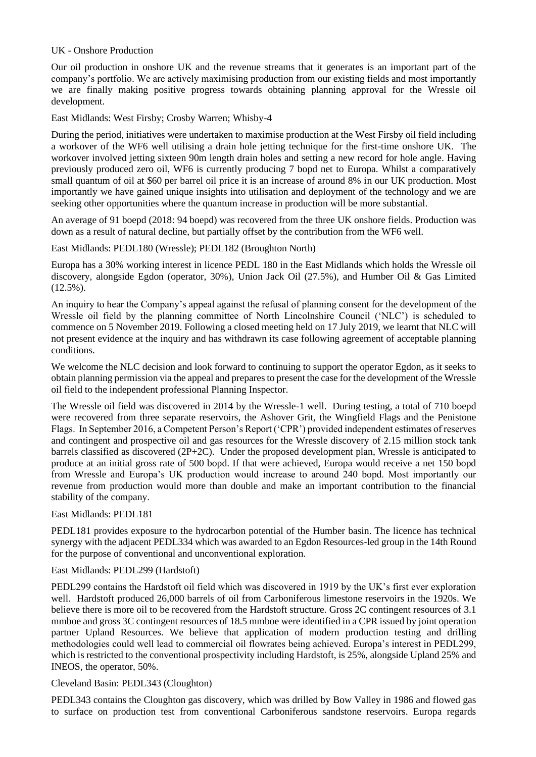#### UK - Onshore Production

Our oil production in onshore UK and the revenue streams that it generates is an important part of the company's portfolio. We are actively maximising production from our existing fields and most importantly we are finally making positive progress towards obtaining planning approval for the Wressle oil development.

East Midlands: West Firsby; Crosby Warren; Whisby-4

During the period, initiatives were undertaken to maximise production at the West Firsby oil field including a workover of the WF6 well utilising a drain hole jetting technique for the first-time onshore UK. The workover involved jetting sixteen 90m length drain holes and setting a new record for hole angle. Having previously produced zero oil, WF6 is currently producing 7 bopd net to Europa. Whilst a comparatively small quantum of oil at \$60 per barrel oil price it is an increase of around 8% in our UK production. Most importantly we have gained unique insights into utilisation and deployment of the technology and we are seeking other opportunities where the quantum increase in production will be more substantial.

An average of 91 boepd (2018: 94 boepd) was recovered from the three UK onshore fields. Production was down as a result of natural decline, but partially offset by the contribution from the WF6 well.

East Midlands: PEDL180 (Wressle); PEDL182 (Broughton North)

Europa has a 30% working interest in licence PEDL 180 in the East Midlands which holds the Wressle oil discovery, alongside Egdon (operator, 30%), Union Jack Oil (27.5%), and Humber Oil & Gas Limited  $(12.5\%)$ .

An inquiry to hear the Company's appeal against the refusal of planning consent for the development of the Wressle oil field by the planning committee of North Lincolnshire Council ('NLC') is scheduled to commence on 5 November 2019. Following a closed meeting held on 17 July 2019, we learnt that NLC will not present evidence at the inquiry and has withdrawn its case following agreement of acceptable planning conditions.

We welcome the NLC decision and look forward to continuing to support the operator Egdon, as it seeks to obtain planning permission via the appeal and prepares to present the case for the development of the Wressle oil field to the independent professional Planning Inspector.

The Wressle oil field was discovered in 2014 by the Wressle-1 well. During testing, a total of 710 boepd were recovered from three separate reservoirs, the Ashover Grit, the Wingfield Flags and the Penistone Flags. In September 2016, a Competent Person's Report ('CPR') provided independent estimates of reserves and contingent and prospective oil and gas resources for the Wressle discovery of 2.15 million stock tank barrels classified as discovered (2P+2C). Under the proposed development plan, Wressle is anticipated to produce at an initial gross rate of 500 bopd. If that were achieved, Europa would receive a net 150 bopd from Wressle and Europa's UK production would increase to around 240 bopd. Most importantly our revenue from production would more than double and make an important contribution to the financial stability of the company.

#### East Midlands: PEDL181

PEDL181 provides exposure to the hydrocarbon potential of the Humber basin. The licence has technical synergy with the adjacent PEDL334 which was awarded to an Egdon Resources-led group in the 14th Round for the purpose of conventional and unconventional exploration.

#### East Midlands: PEDL299 (Hardstoft)

PEDL299 contains the Hardstoft oil field which was discovered in 1919 by the UK's first ever exploration well. Hardstoft produced 26,000 barrels of oil from Carboniferous limestone reservoirs in the 1920s. We believe there is more oil to be recovered from the Hardstoft structure. Gross 2C contingent resources of 3.1 mmboe and gross 3C contingent resources of 18.5 mmboe were identified in a CPR issued by joint operation partner Upland Resources. We believe that application of modern production testing and drilling methodologies could well lead to commercial oil flowrates being achieved. Europa's interest in PEDL299, which is restricted to the conventional prospectivity including Hardstoft, is 25%, alongside Upland 25% and INEOS, the operator, 50%.

## Cleveland Basin: PEDL343 (Cloughton)

PEDL343 contains the Cloughton gas discovery, which was drilled by Bow Valley in 1986 and flowed gas to surface on production test from conventional Carboniferous sandstone reservoirs. Europa regards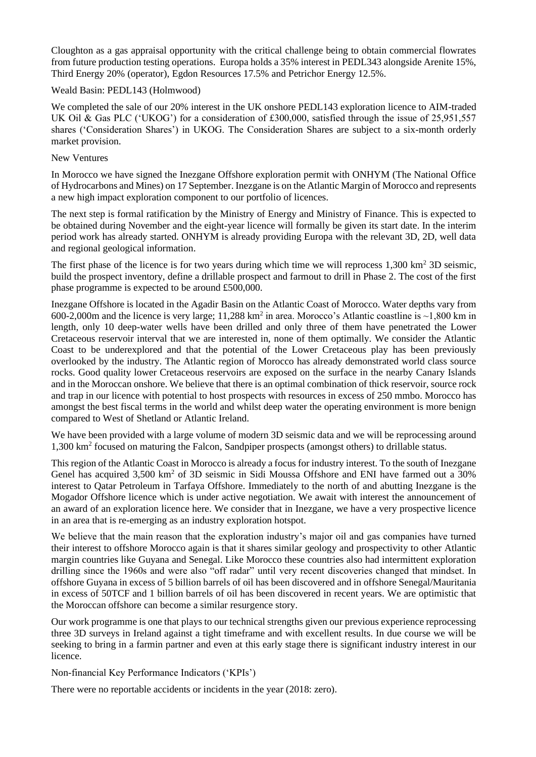Cloughton as a gas appraisal opportunity with the critical challenge being to obtain commercial flowrates from future production testing operations. Europa holds a 35% interest in PEDL343 alongside Arenite 15%, Third Energy 20% (operator), Egdon Resources 17.5% and Petrichor Energy 12.5%.

## Weald Basin: PEDL143 (Holmwood)

We completed the sale of our 20% interest in the UK onshore PEDL143 exploration licence to AIM-traded UK Oil & Gas PLC ('UKOG') for a consideration of £300,000, satisfied through the issue of 25,951,557 shares ('Consideration Shares') in UKOG. The Consideration Shares are subject to a six-month orderly market provision.

# New Ventures

In Morocco we have signed the Inezgane Offshore exploration permit with ONHYM (The National Office of Hydrocarbons and Mines) on 17 September. Inezgane is on the Atlantic Margin of Morocco and represents a new high impact exploration component to our portfolio of licences.

The next step is formal ratification by the Ministry of Energy and Ministry of Finance. This is expected to be obtained during November and the eight-year licence will formally be given its start date. In the interim period work has already started. ONHYM is already providing Europa with the relevant 3D, 2D, well data and regional geological information.

The first phase of the licence is for two years during which time we will reprocess  $1,300 \text{ km}^2$  3D seismic, build the prospect inventory, define a drillable prospect and farmout to drill in Phase 2. The cost of the first phase programme is expected to be around £500,000.

Inezgane Offshore is located in the Agadir Basin on the Atlantic Coast of Morocco. Water depths vary from 600-2,000m and the licence is very large; 11,288 km<sup>2</sup> in area. Morocco's Atlantic coastline is  $\sim$ 1,800 km in length, only 10 deep-water wells have been drilled and only three of them have penetrated the Lower Cretaceous reservoir interval that we are interested in, none of them optimally. We consider the Atlantic Coast to be underexplored and that the potential of the Lower Cretaceous play has been previously overlooked by the industry. The Atlantic region of Morocco has already demonstrated world class source rocks. Good quality lower Cretaceous reservoirs are exposed on the surface in the nearby Canary Islands and in the Moroccan onshore. We believe that there is an optimal combination of thick reservoir, source rock and trap in our licence with potential to host prospects with resources in excess of 250 mmbo. Morocco has amongst the best fiscal terms in the world and whilst deep water the operating environment is more benign compared to West of Shetland or Atlantic Ireland.

We have been provided with a large volume of modern 3D seismic data and we will be reprocessing around 1,300 km<sup>2</sup> focused on maturing the Falcon, Sandpiper prospects (amongst others) to drillable status.

This region of the Atlantic Coast in Morocco is already a focus for industry interest. To the south of Inezgane Genel has acquired 3,500 km<sup>2</sup> of 3D seismic in Sidi Moussa Offshore and ENI have farmed out a 30% interest to Qatar Petroleum in Tarfaya Offshore. Immediately to the north of and abutting Inezgane is the Mogador Offshore licence which is under active negotiation. We await with interest the announcement of an award of an exploration licence here. We consider that in Inezgane, we have a very prospective licence in an area that is re-emerging as an industry exploration hotspot.

We believe that the main reason that the exploration industry's major oil and gas companies have turned their interest to offshore Morocco again is that it shares similar geology and prospectivity to other Atlantic margin countries like Guyana and Senegal. Like Morocco these countries also had intermittent exploration drilling since the 1960s and were also "off radar" until very recent discoveries changed that mindset. In offshore Guyana in excess of 5 billion barrels of oil has been discovered and in offshore Senegal/Mauritania in excess of 50TCF and 1 billion barrels of oil has been discovered in recent years. We are optimistic that the Moroccan offshore can become a similar resurgence story.

Our work programme is one that plays to our technical strengths given our previous experience reprocessing three 3D surveys in Ireland against a tight timeframe and with excellent results. In due course we will be seeking to bring in a farmin partner and even at this early stage there is significant industry interest in our licence.

Non-financial Key Performance Indicators ('KPIs')

There were no reportable accidents or incidents in the year (2018: zero).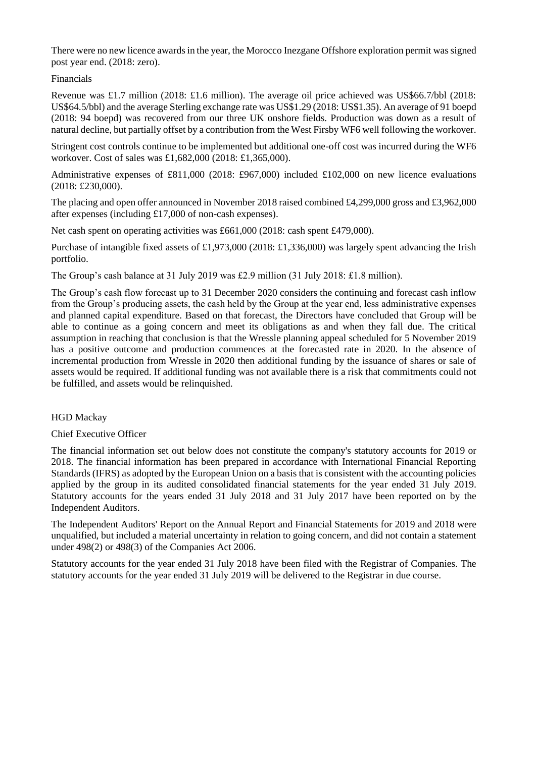There were no new licence awards in the year, the Morocco Inezgane Offshore exploration permit was signed post year end. (2018: zero).

## Financials

Revenue was £1.7 million (2018: £1.6 million). The average oil price achieved was US\$66.7/bbl (2018: US\$64.5/bbl) and the average Sterling exchange rate was US\$1.29 (2018: US\$1.35). An average of 91 boepd (2018: 94 boepd) was recovered from our three UK onshore fields. Production was down as a result of natural decline, but partially offset by a contribution from the West Firsby WF6 well following the workover.

Stringent cost controls continue to be implemented but additional one-off cost was incurred during the WF6 workover. Cost of sales was £1,682,000 (2018: £1,365,000).

Administrative expenses of £811,000 (2018: £967,000) included £102,000 on new licence evaluations (2018: £230,000).

The placing and open offer announced in November 2018 raised combined £4,299,000 gross and £3,962,000 after expenses (including £17,000 of non-cash expenses).

Net cash spent on operating activities was £661,000 (2018: cash spent £479,000).

Purchase of intangible fixed assets of £1,973,000 (2018: £1,336,000) was largely spent advancing the Irish portfolio.

The Group's cash balance at 31 July 2019 was £2.9 million (31 July 2018: £1.8 million).

The Group's cash flow forecast up to 31 December 2020 considers the continuing and forecast cash inflow from the Group's producing assets, the cash held by the Group at the year end, less administrative expenses and planned capital expenditure. Based on that forecast, the Directors have concluded that Group will be able to continue as a going concern and meet its obligations as and when they fall due. The critical assumption in reaching that conclusion is that the Wressle planning appeal scheduled for 5 November 2019 has a positive outcome and production commences at the forecasted rate in 2020. In the absence of incremental production from Wressle in 2020 then additional funding by the issuance of shares or sale of assets would be required. If additional funding was not available there is a risk that commitments could not be fulfilled, and assets would be relinquished.

# HGD Mackay

#### Chief Executive Officer

The financial information set out below does not constitute the company's statutory accounts for 2019 or 2018. The financial information has been prepared in accordance with International Financial Reporting Standards (IFRS) as adopted by the European Union on a basis that is consistent with the accounting policies applied by the group in its audited consolidated financial statements for the year ended 31 July 2019. Statutory accounts for the years ended 31 July 2018 and 31 July 2017 have been reported on by the Independent Auditors.

The Independent Auditors' Report on the Annual Report and Financial Statements for 2019 and 2018 were unqualified, but included a material uncertainty in relation to going concern, and did not contain a statement under 498(2) or 498(3) of the Companies Act 2006.

Statutory accounts for the year ended 31 July 2018 have been filed with the Registrar of Companies. The statutory accounts for the year ended 31 July 2019 will be delivered to the Registrar in due course.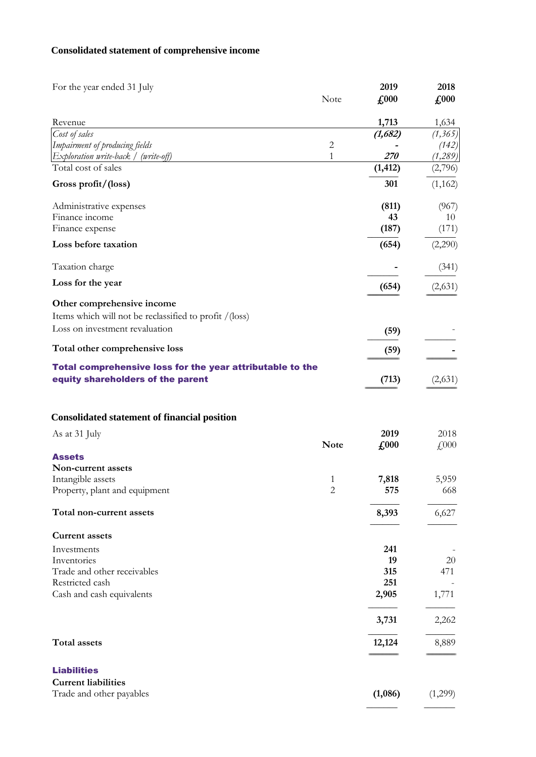# **Consolidated statement of comprehensive income**

| For the year ended 31 July                                           |              | 2019          | 2018                |
|----------------------------------------------------------------------|--------------|---------------|---------------------|
|                                                                      | Note         | $\pounds 000$ | $\pounds$ 000       |
| Revenue                                                              |              | 1,713         | 1,634               |
| Cost of sales                                                        |              | (1,682)       | (1, 365)            |
| Impairment of producing fields                                       | $\sqrt{2}$   |               | (142)               |
| Exploration write-back / (write-off)                                 | $\mathbf{1}$ | 270           | (1,289)             |
| Total cost of sales                                                  |              | (1, 412)      | (2,796)             |
| Gross profit/(loss)                                                  |              | 301           | (1, 162)            |
| Administrative expenses                                              |              | (811)         | (967)               |
| Finance income                                                       |              | 43            | 10                  |
| Finance expense                                                      |              | (187)         | (171)               |
| Loss before taxation                                                 |              | (654)         | (2,290)             |
| Taxation charge                                                      |              |               | (341)               |
| Loss for the year                                                    |              | (654)         | (2,631)             |
| Other comprehensive income                                           |              |               |                     |
|                                                                      |              |               |                     |
| Items which will not be reclassified to profit /(loss)               |              |               |                     |
| Loss on investment revaluation                                       |              | (59)          |                     |
| Total other comprehensive loss                                       |              | (59)          |                     |
| Total comprehensive loss for the year attributable to the            |              |               |                     |
| equity shareholders of the parent                                    |              | (713)         | (2,631)             |
| <b>Consolidated statement of financial position</b><br>As at 31 July |              | 2019          | 2018                |
|                                                                      | <b>Note</b>  | £000          | $\textsterling 000$ |
| Assets                                                               |              |               |                     |
| Non-current assets                                                   |              |               |                     |
| Intangible assets                                                    | 1            | 7,818         | 5,959               |
| Property, plant and equipment                                        | $\mathbf{2}$ | 575           | 668                 |
| Total non-current assets                                             |              | 8,393         | 6,627               |
| <b>Current assets</b>                                                |              |               |                     |
| Investments                                                          |              | 241           |                     |
| Inventories                                                          |              | 19            | 20                  |
| Trade and other receivables                                          |              | 315           | 471                 |
| Restricted cash                                                      |              | 251           |                     |
| Cash and cash equivalents                                            |              | 2,905         | 1,771               |
|                                                                      |              | 3,731         | 2,262               |
| <b>Total assets</b>                                                  |              | 12,124        | 8,889               |
|                                                                      |              |               |                     |
| <b>Liabilities</b>                                                   |              |               |                     |
| <b>Current liabilities</b>                                           |              |               |                     |
| Trade and other payables                                             |              | (1,086)       | (1,299)             |
|                                                                      |              |               |                     |

------------------------------------ ------------------------------------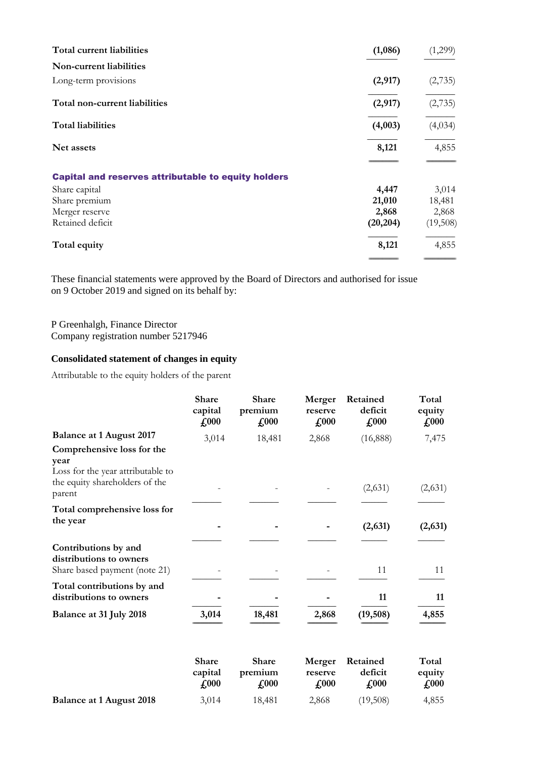| Total current liabilities                                  | (1,086)   | (1,299)  |
|------------------------------------------------------------|-----------|----------|
| Non-current liabilities                                    |           |          |
| Long-term provisions                                       | (2,917)   | (2,735)  |
| Total non-current liabilities                              | (2,917)   | (2,735)  |
| <b>Total liabilities</b>                                   | (4,003)   | (4,034)  |
| Net assets                                                 | 8,121     | 4,855    |
| <b>Capital and reserves attributable to equity holders</b> |           |          |
| Share capital                                              | 4,447     | 3,014    |
| Share premium                                              | 21,010    | 18,481   |
| Merger reserve                                             | 2,868     | 2,868    |
| Retained deficit                                           | (20, 204) | (19,508) |
| Total equity                                               | 8,121     | 4,855    |
|                                                            |           |          |

These financial statements were approved by the Board of Directors and authorised for issue on 9 October 2019 and signed on its behalf by:

P Greenhalgh, Finance Director Company registration number 5217946

#### **Consolidated statement of changes in equity**

Attributable to the equity holders of the parent

|                                                                                                           | <b>Share</b><br>capital<br>$\pounds 000$ | <b>Share</b><br>premium<br>$\pounds$ 000 | Merger<br>reserve<br>$\pounds 000$ | Retained<br>deficit<br>$\pounds 000$ | Total<br>equity<br>$\pounds$ 000 |
|-----------------------------------------------------------------------------------------------------------|------------------------------------------|------------------------------------------|------------------------------------|--------------------------------------|----------------------------------|
| <b>Balance at 1 August 2017</b>                                                                           | 3,014                                    | 18,481                                   | 2,868                              | (16,888)                             | 7,475                            |
| Comprehensive loss for the<br>year<br>Loss for the year attributable to<br>the equity shareholders of the |                                          |                                          |                                    |                                      |                                  |
| parent                                                                                                    |                                          |                                          |                                    | (2,631)                              | (2,631)                          |
| Total comprehensive loss for<br>the year                                                                  |                                          |                                          |                                    | (2, 631)                             | (2,631)                          |
| Contributions by and<br>distributions to owners<br>Share based payment (note 21)                          |                                          |                                          |                                    | 11                                   | 11                               |
| Total contributions by and<br>distributions to owners                                                     |                                          |                                          |                                    | 11                                   | 11                               |
| Balance at 31 July 2018                                                                                   | 3,014                                    | 18,481                                   | 2,868                              | (19, 508)                            | 4,855                            |
|                                                                                                           | Share<br>capital<br>$\pounds$ 000        | Share<br>premium<br>£000                 | Merger<br>reserve<br>$\pounds 000$ | Retained<br>deficit<br>$\pounds$ 000 | Total<br>equity<br>$\pounds$ 000 |
| <b>Balance at 1 August 2018</b>                                                                           | 3,014                                    | 18,481                                   | 2,868                              | (19,508)                             | 4,855                            |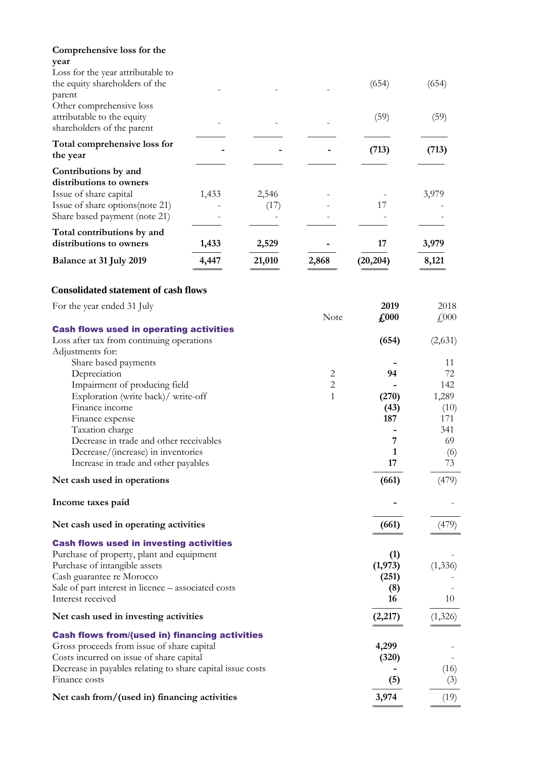| Comprehensive loss for the<br>year<br>Loss for the year attributable to                                         |       |        |                |                   |              |
|-----------------------------------------------------------------------------------------------------------------|-------|--------|----------------|-------------------|--------------|
| the equity shareholders of the<br>parent                                                                        |       |        |                | (654)             | (654)        |
| Other comprehensive loss<br>attributable to the equity<br>shareholders of the parent                            |       |        |                | (59)              | (59)         |
| Total comprehensive loss for<br>the year                                                                        |       |        |                | (713)             | (713)        |
| Contributions by and<br>distributions to owners<br>Issue of share capital                                       | 1,433 | 2,546  |                |                   | 3,979        |
| Issue of share options (note 21)<br>Share based payment (note 21)                                               |       | (17)   |                | 17                |              |
| Total contributions by and<br>distributions to owners                                                           | 1,433 | 2,529  |                | 17                | 3,979        |
| Balance at 31 July 2019                                                                                         | 4,447 | 21,010 | 2,868          | (20, 204)         | 8,121        |
| <b>Consolidated statement of cash flows</b>                                                                     |       |        |                |                   |              |
| For the year ended 31 July                                                                                      |       |        | Note           | 2019<br>£000      | 2018<br>£000 |
| <b>Cash flows used in operating activities</b><br>Loss after tax from continuing operations<br>Adjustments for: |       |        |                | (654)             | (2,631)      |
| Share based payments<br>Depreciation                                                                            |       |        | 2              | 94                | 11<br>72     |
| Impairment of producing field                                                                                   |       |        | $\overline{c}$ |                   | 142          |
| Exploration (write back)/ write-off                                                                             |       |        | $\mathbf{1}$   | (270)             | 1,289        |
| Finance income                                                                                                  |       |        |                | (43)              | (10)         |
| Finance expense                                                                                                 |       |        |                | 187               | 171          |
| Taxation charge<br>Decrease in trade and other receivables                                                      |       |        |                | 7                 | 341<br>69    |
| Decrease/(increase) in inventories                                                                              |       |        |                | 1                 | (6)          |
| Increase in trade and other payables                                                                            |       |        |                | 17                | 73           |
| Net cash used in operations                                                                                     |       |        |                | (661)             | (479)        |
| Income taxes paid                                                                                               |       |        |                |                   |              |
| Net cash used in operating activities                                                                           |       |        |                | (661)             | (479)        |
| <b>Cash flows used in investing activities</b>                                                                  |       |        |                |                   |              |
| Purchase of property, plant and equipment                                                                       |       |        |                | (1)               |              |
| Purchase of intangible assets<br>Cash guarantee re Morocco                                                      |       |        |                | (1, 973)<br>(251) | (1, 336)     |
| Sale of part interest in licence – associated costs                                                             |       |        |                | (8)               |              |
| Interest received                                                                                               |       |        |                | 16                | 10           |
| Net cash used in investing activities                                                                           |       |        |                | (2,217)           | (1,326)      |
| <b>Cash flows from/(used in) financing activities</b>                                                           |       |        |                |                   |              |
| Gross proceeds from issue of share capital                                                                      |       |        |                | 4,299             |              |
| Costs incurred on issue of share capital<br>Decrease in payables relating to share capital issue costs          |       |        |                | (320)             | (16)         |
| Finance costs                                                                                                   |       |        |                | (5)               | (3)          |
| Net cash from/(used in) financing activities                                                                    |       |        |                | 3,974             | (19)         |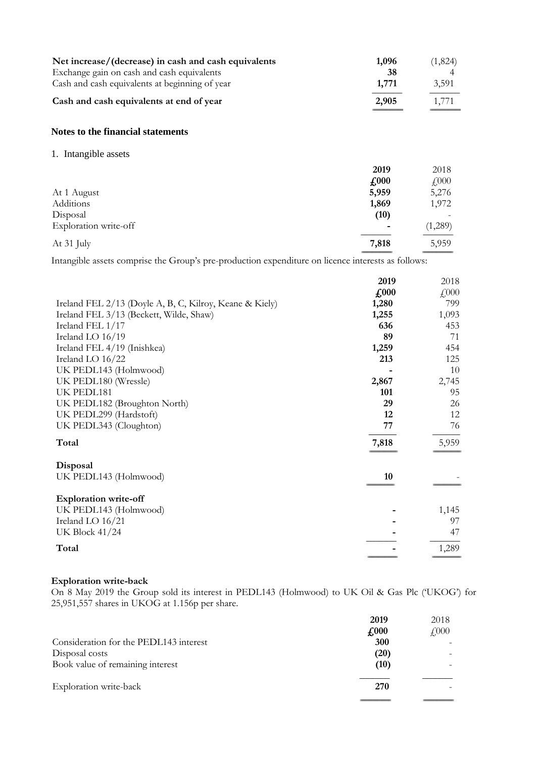| Net increase/(decrease) in cash and cash equivalents<br>Exchange gain on cash and cash equivalents<br>Cash and cash equivalents at beginning of year | 1,096<br>38<br>1,771 | (1,824)<br>3,591    |
|------------------------------------------------------------------------------------------------------------------------------------------------------|----------------------|---------------------|
| Cash and cash equivalents at end of year                                                                                                             | 2,905                | 1,771               |
| Notes to the financial statements                                                                                                                    |                      |                     |
| 1. Intangible assets                                                                                                                                 |                      |                     |
|                                                                                                                                                      | 2019                 | 2018                |
|                                                                                                                                                      | $\pounds 000$        | $f\left(000\right)$ |
| At 1 August                                                                                                                                          | 5,959                | 5,276               |
| Additions                                                                                                                                            | 1,869                | 1,972               |
| Disposal                                                                                                                                             | (10)                 |                     |
| Exploration write-off                                                                                                                                |                      | (1,289)             |
| At 31 July                                                                                                                                           | 7,818                | 5,959               |

Intangible assets comprise the Group's pre-production expenditure on licence interests as follows:

|                                                         | 2019          | 2018      |
|---------------------------------------------------------|---------------|-----------|
|                                                         | $\sqrt{0.00}$ | $f{,}000$ |
| Ireland FEL 2/13 (Doyle A, B, C, Kilroy, Keane & Kiely) | 1,280         | 799       |
| Ireland FEL 3/13 (Beckett, Wilde, Shaw)                 | 1,255         | 1,093     |
| Ireland FEL 1/17                                        | 636           | 453       |
| Ireland LO 16/19                                        | 89            | 71        |
| Ireland FEL 4/19 (Inishkea)                             | 1,259         | 454       |
| Ireland LO 16/22                                        | 213           | 125       |
| UK PEDL143 (Holmwood)                                   |               | 10        |
| UK PEDL180 (Wressle)                                    | 2,867         | 2,745     |
| UK PEDL181                                              | 101           | 95        |
| UK PEDL182 (Broughton North)                            | 29            | 26        |
| UK PEDL299 (Hardstoft)                                  | 12            | 12        |
| UK PEDL343 (Cloughton)                                  | 77            | 76        |
| Total                                                   | 7,818         | 5,959     |
| Disposal                                                |               |           |
| UK PEDL143 (Holmwood)                                   | 10            |           |
| <b>Exploration write-off</b>                            |               |           |
| UK PEDL143 (Holmwood)                                   |               | 1,145     |
| Ireland LO 16/21                                        |               | 97        |
| <b>UK Block 41/24</b>                                   |               | 47        |
| Total                                                   |               | 1,289     |

# **Exploration write-back**

On 8 May 2019 the Group sold its interest in PEDL143 (Holmwood) to UK Oil & Gas Plc ('UKOG') for 25,951,557 shares in UKOG at 1.156p per share.

|                                        | 2019                        | 2018         |
|----------------------------------------|-----------------------------|--------------|
|                                        | $\textbf{\textsterling}000$ | $\sqrt{000}$ |
| Consideration for the PEDL143 interest | 300                         |              |
| Disposal costs                         | (20)                        |              |
| Book value of remaining interest       | (10)                        |              |
| Exploration write-back                 | 270                         |              |
|                                        |                             |              |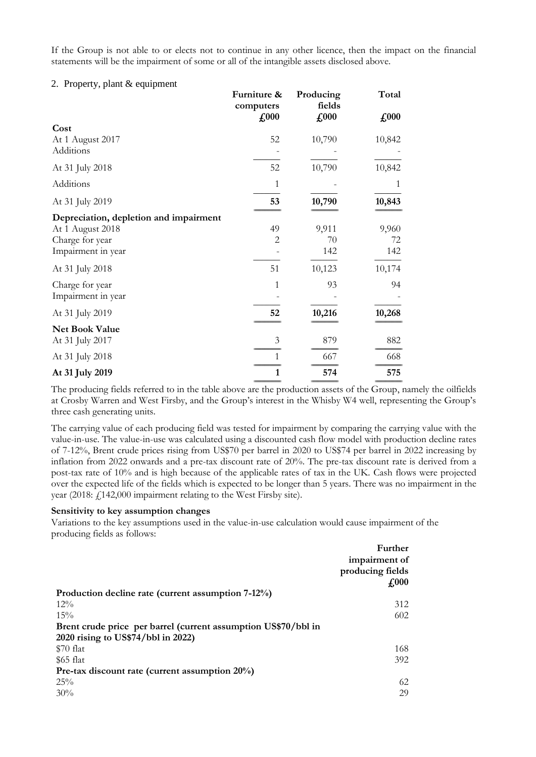If the Group is not able to or elects not to continue in any other licence, then the impact on the financial statements will be the impairment of some or all of the intangible assets disclosed above.

#### 2. Property, plant & equipment

|                                        | Furniture &<br>computers<br>$\pounds 000$ | Producing<br>fields<br>$\pounds$ 000 | Total<br>$\pounds$ 000 |
|----------------------------------------|-------------------------------------------|--------------------------------------|------------------------|
| Cost                                   |                                           |                                      |                        |
| At 1 August 2017<br>Additions          | 52                                        | 10,790                               | 10,842                 |
| At 31 July 2018                        | 52                                        | 10,790                               | 10,842                 |
| Additions                              | 1                                         |                                      | 1                      |
| At 31 July 2019                        | 53                                        | 10,790                               | 10,843                 |
| Depreciation, depletion and impairment |                                           |                                      |                        |
| At 1 August 2018                       | 49                                        | 9,911                                | 9,960                  |
| Charge for year                        | $\overline{2}$                            | 70                                   | 72                     |
| Impairment in year                     |                                           | 142                                  | 142                    |
| At 31 July 2018                        | 51                                        | 10,123                               | 10,174                 |
| Charge for year                        | 1                                         | 93                                   | 94                     |
| Impairment in year                     |                                           |                                      |                        |
| At 31 July 2019                        | 52                                        | 10,216                               | 10,268                 |
| Net Book Value                         |                                           |                                      |                        |
| At 31 July 2017                        | 3                                         | 879                                  | 882                    |
| At 31 July 2018                        | 1                                         | 667                                  | 668                    |
| At 31 July 2019                        | 1                                         | 574                                  | 575                    |

The producing fields referred to in the table above are the production assets of the Group, namely the oilfields at Crosby Warren and West Firsby, and the Group's interest in the Whisby W4 well, representing the Group's three cash generating units.

The carrying value of each producing field was tested for impairment by comparing the carrying value with the value-in-use. The value-in-use was calculated using a discounted cash flow model with production decline rates of 7-12%, Brent crude prices rising from US\$70 per barrel in 2020 to US\$74 per barrel in 2022 increasing by inflation from 2022 onwards and a pre-tax discount rate of 20%. The pre-tax discount rate is derived from a post-tax rate of 10% and is high because of the applicable rates of tax in the UK. Cash flows were projected over the expected life of the fields which is expected to be longer than 5 years. There was no impairment in the year (2018: £142,000 impairment relating to the West Firsby site).

#### **Sensitivity to key assumption changes**

Variations to the key assumptions used in the value-in-use calculation would cause impairment of the producing fields as follows:

|                                                                | Further          |
|----------------------------------------------------------------|------------------|
|                                                                | impairment of    |
|                                                                | producing fields |
|                                                                | $\pounds 000$    |
| Production decline rate (current assumption 7-12%)             |                  |
| $12\%$                                                         | 312              |
| 15%                                                            | 602              |
| Brent crude price per barrel (current assumption US\$70/bbl in |                  |
| 2020 rising to US\$74/bbl in 2022)                             |                  |
| $$70$ flat                                                     | 168              |
| \$65 flat                                                      | 392              |
| Pre-tax discount rate (current assumption $20\%$ )             |                  |
| 25%                                                            | 62               |
| 30%                                                            | 29               |